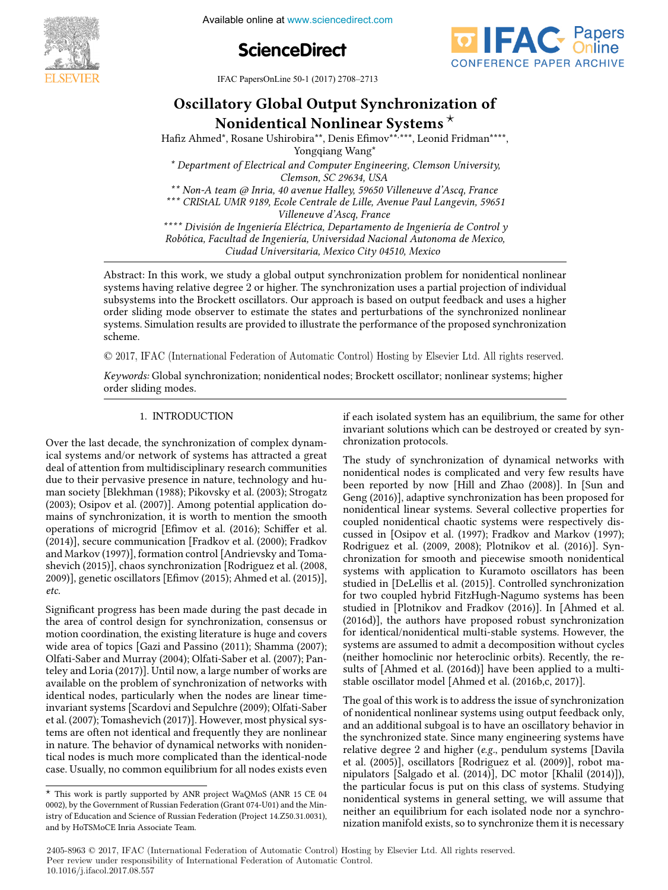

**The International Federation of Available online at www.sciencedirect.com** 





IFAC PapersOnLine 50-1 (2017) 2708-2713  $\frac{1}{2}$ Oscillatory Global Output Synchronization of  $\frac{1}{2}$ 

## Oscillatory Global Output Synchronization of atory Global Output Synchronizat<br>Nanidentical Nonlinear Systems  $^\star$ Oscillatory Global Output Synchronization of Oscinatory Giobar Output Syntinomization of<br>Nonidentical Nonlinear Systems \*

Hafiz Ahmed\*, Rosane Ushirobira\*\*, Denis Efimov\*\*,\*\*\*, Leonid Fridman\*\*\*\*, Yongqiang Wang\* Yongqiang Wang\* Yongqiang Wang\*

*\* Department of Electrical and Computer Engineering, Clemson University, \* Department of Electrical and Computer Engineering, Clemson University, \* Department of Electrical and Computer Engineering, Clemson University, Clemson, SC 29634, USA Clemson, SC 29634, USA \* Department of Electrical and Computer Engineering, Clemson University,*

Clemson, SC 29634, OSA<br>Non-A team @ Inria, 40 avenue Halley, 59650 Villeneuve d'Ascq, France *\*\* Non-A team @ Inria, 40 avenue Halley, 59650 Villeneuve d'Ascq, France \*\*\* CRIStAL UMR 9189, Ecole Centrale de Lille, Avenue Paul Langevin, 59651* Non-A team w Inna, 40 avenue Halley, 59650 v liteneuve a Ascy, France<br>\*\*\* CRIStAL UMR 9189, Ecole Centrale de Lille, Avenue Paul Langevin, 59651 *Villeneuve d'Ascq, France Villeneuve d'Ascq, France \*\*\* CRIStAL UMR 9189, Ecole Centrale de Lille, Avenue Paul Langevin, 59651 \*\* Non-A team @ Inria, 40 avenue Halley, 59650 Villeneuve d'Ascq, France*

*Villeneuve d'Ascq, France \*\*\*\* División de Ingeniería Eléctrica, Departamento de Ingeniería de Control y*

Robótica, Facultad de Ingeniería, Universidad Nacional Autonoma de Mexico, *Robótica, Facultad de Ingeniería, Universidad Nacional Autonoma de Mexico, Ciudad Universitaria, Mexico City 04510, Mexico* vineneuve a Ascq, France<br>\*\*\*\* División de Ingeniería Eléctrica, Departamento de Ingeniería de Control y<br>Pohática, Facultad de Ingeniería, Universidad Nacional Autoneuve de Marios Robotta, Facultul de Ingenieria, Oliversidad Ivacional Adionoma de Mexico,<br>Ciudad Universitaria, Mexico City 04510, Mexico *u Electrica, Departamento* 

*Ciudad Universitaria, Mexico City 04510, Mexico*

systems having relative degree 2 or higher. The synchronization problem for nonadinated noninear<br>systems having relative degree 2 or higher. The synchronization uses a partial projection of individual systems having relative degree 2 of higher. The synchronization uses a partial projection of mulvidual<br>subsystems into the Brockett oscillators. Our approach is based on output feedback and uses a higher order sliding mode observer to estimate the states and perturbations of the synchronized nonlinear<br>order sliding mode observer to estimate the states and perturbations of the synchronized nonlinear systems. Simulation results are provided to illustrate the performance of the proposed synchronization  $s$ cheme. Simulation results are provided to illustrate the performance of the performance of the performance of the performance of the performance of the performance of the performance of the performance of the performan Abstract: In this work, we study a global output synchronization problem for nonidentical nonlinear *Ciudad Universitaria, Mexico City 04510, Mexico* scheme. scheme. systems. Simulation results are provided to illustrate the performance of the proposed synchronization substituting into the Brockett of estimate the States and perturbations of the synchronized noninetal number of  $\mathbf{r}$  is a higher of  $\mathbf{r}$  is based on  $\mathbf{r}$  is based on  $\mathbf{r}$  is a higher of  $\mathbf{r}$  is a highe systems. Simulation results are provided to illustrate the performance of the proposed synchronization<br>selections  $s_{\text{c}}$ order schieme. The state observer to estimate the synchronized nonlinear to the synchronized non-linear synchronized non-linear synchronized non-linear synchronized non-linear synchronized non-linear synchronized non-linea

© 2017, IFAC (International Federation of Automatic Control) Hosting by Elsevier Ltd. All rights reserved. © 2017, IFAC (International Federation of Automatic Control) Hosting by Elsevier Ltd. All rights reserved.  $\cup$  2017,

.<br>Keywords: Global synchronization; nonidentical nodes; Brockett oscillator; nonlinear systems; higher order sliding modes. order sliding modes. *Keywords:* Global synchronization; nonidentical nodes; Brockett oscillator; nonlinear systems; higher order sliding modes. Global synchronization; non- $\overline{\phantom{a}}$ 

#### 1. INTRODUCTION 1. INTRODUCTION 1. International and the control of the control of the control of the control of the control of the control of 1. INTRODUCTION

Over the last decade, the synchronization of complex dynam-Over the last decade, the synchromzation of complex dynamical systems and/or network of systems has attracted a great real systems and/or hetwork or systems has attracted a great<br>deal of attention from multidisciplinary research communities due to their pervasive presence in nature, technology and hu-<br>man society [Blekhman (1988): Pikovsky et al. (2003): Strogatz man society [Blekhman (1988); Pikovsky et al. (2003); Strogatz (2003); Osipov et al. (2007)]. Among potential application do-man society [Blekhman (1988); Pikovsky et al. (2003); Strogatz man society [Bickmillan (1988), 1 Kovsky et al. (2003), Strogatz<br>(2003); Osipov et al. (2007)]. Among potential application do-(2005), Osipov et al. (2007)]. Alliong potential application to-<br>mains of synchronization, it is worth to mention the smooth mains of synchronization, it is worth to mention the sinooni<br>operations of microgrid [Efimov et al. (2016); Schiffer et al. operations of incrogrid [Enniov et al. (2010), Schiffer et al.<br>(2014)], secure communication [Fradkov et al. (2000); Fradkov and Markov (1997)], formation control [Andrievsky and Toma-shevich (2015)], chaos synchronization [Rodriguez et al. (2008, and Markov (1997)], formation control [Andrievsky and Tomaand Markov (1997)], formation control [Amdrevsky and Toma-<br>shevich (2015)], chaos synchronization [Rodriguez et al. (2008, 2009)], genetic oscillators [Emov (2015); Ahmed et al. (2015)], *etc.* 2009)], genetic oscillators [Emov (2015); Ahmed et al. (2015)], *etc. etc.*  $\mathcal{L}$  significant progress has been made during the past decade in  $\mathcal{L}$ deal of attention from multidisciplinary research communities<br>due to their neurosius greenes in noture, technology and hu-Over the last decade, the synchronization of complex dynamical systems and/or network of systems has attracted a great man society [Blekhman (1988); Pikovsky et al. (2003); Strogatz (2003); Osipov et al. (2007)]. Among potential application domains of synchronization, it is worth to mention the smooth operations of microgrid [Efimov et al. (2016); Schiffer et al.<br>(2014)], secure communication [Fradkov et al. (2000): Fradkov (2014)], secure communication [Fradkov et al. (2000); Fradkov and Markov (1997)], formation control [Andrievsky and Tomashevich (2015)], chaos synchronization [Rodriguez et al. (2008, 2009)], genetic oscillators [Efimov (2015); Ahmed et al. (2015)], *etc.*  $200$  etc.

.<br>Significant progress has been made during the past decade in significant progress has been made during the past decade in<br>the area of control design for synchronization, consensus or motion coordination, the existing literature is huge and covers motion coordination, the existing iterature is huge and covers<br>wide area of topics [Gazi and Passino (2011); Shamma (2007); whie area or topics [Gazi and Fassino (2011), Shahima (2007),<br>Olfati-Saber and Murray (2004); Olfati-Saber et al. (2007); Pan-Unati-Saber and Murray (2004), Unati-Saber et al. (2007), Fan-<br>teley and Loria (2017)]. Until now, a large number of works are terey and corra (2017)]. Onthinow, a large number or works are available on the problem of synchronization of networks with avanable on the problem of synchromzation of hetworks with<br>identical nodes, particularly when the nodes are linear timenuentical noues, particularly when the houes are infear time-<br>invariant systems [Scardovi and Sepulchre (2009); Olfati-Saber et al. (2007); Tomashevich (2017)]. However, most physical systems are often not identical and frequently they are nonlinear teins are often not identical and requently they are nominear<br>in nature. The behavior of dynamical networks with noniden-In nature. The behavior of dynamical networks with homidentical nodes is much more complicated than the identical-node case. Usually, no common equilibrium for all nodes exists even  $\mathcal{L}$ the area of control design for synchronization, consensus or invariant systems [Scardovi and Sepulchre (2009); Olfati-Saber<br>et al. (2007); Tomashevich (2017)]. However, most physical are tical nodes is much more complicated than the identical-node<br>case. Usually no common equilibrium for all nodes exists even Signicant progress has been made during the past decade in wide area of topics  $[Gazi]$  and  $Passino$  (2011); Shamma (2007); Olfati-Saber and Murray (2004); Olfati-Saber et al. (2007); Panteley and Loria (2017)]. Until now, a large number of works are available on the problem of synchronization of networks with identical nodes, particularly when the nodes are linear timein nature. The behavior of dynamical networks with noniden-<br>tical nodes is much more complicated than the identical-node  $e^{i\theta}$ case. Usually, no common exists exists even exists even exists even exists even exists even exists even exists even exists even exists even exists even exists even exists even exists even exists even exists even exists eve if each isolated system has an equilibrium, the same for other invariant solutions which can be destroyed or created by syn-chronization protocols. invariant solutions which can be destroyed or created by synchronization protocols. mvariant solutions will if each isolated system has an equilibrium, the same for other invariant solutions which can be destroyed or created by synchronization protocols.

if each isolated system has an equilibrium, the same for other system  $\alpha$ 

The study of synchronization of dynamical networks with Ine study of synchronization of dynamical networks with<br>nonidentical nodes is complicated and very few results have nomuentical houes is complicated and very few results have<br>been reported by now [Hill and Zhao (2008)]. In [Sun and been reported by now [rini and Znao (2006)]. In [buil and<br>Geng (2016)], adaptive synchronization has been proposed for nonidentical linear systems. Several collective properties for nonidentical linear systems. Several conective properties for<br>coupled nonidentical chaotic systems were respectively discoupled nominentical chaotic systems were respectively us-<br>cussed in [Osipov et al. (1997); Fradkov and Markov (1997); Rodriguez et al. (2009, 2008); Plotnikov et al. (2016)]. Syn-chronization for smooth and piecewise smooth nonidentical Rodriguez et al. (2009, 2008); Plotnikov et al. (2016)]. Synkouriguez et al. (2009, 2006), Fromikov et al. (2010)]. Syn-<br>chronization for smooth and piecewise smooth nonidentical emonization tor sinoom and precewise sinoom nomdentical<br>systems with application to Kuramoto oscillators has been systems with application to Kuramoto oscinators has been<br>studied in [DeLellis et al. (2015)]. Controlled synchronization for two coupled hybrid FitzHugh-Nagumo systems has been for two coupled hybrid Fitzfugh-Naguillo systems has been<br>studied in [Plotnikov and Fradkov (2016)]. In [Ahmed et al. studied in [1 formed], the authors and Fradkov (2010)]. In [Annied et al. (2016d)], the authors have proposed robust synchronization (2010a)], the authors have proposed robust synchronization<br>for identical/nonidentical multi-stable systems. However, the for identical/nonidentical multi-stable systems. However, the<br>systems are assumed to admit a decomposition without cycles systems are assumed to admit a decomposition without cycles<br>(neither homoclinic nor heteroclinic orbits). Recently, the results of [Ahmed et al. (2016d)] have been applied to a multistable oscillator model [Ahmed et al. (2016b,c, 2017)]. Geng (2016)], adaptive synchronization has been proposed for<br>general ortical linear gyptems. Several sellective gyptemies for studied in [DeLellis et al. (2015)]. Controlled synchronization<br>for two sounded by heid FitzHugh-Nagumo systems has been (neither homoclinic nor heteroclinic orbits). Recently, the re-<br>sulte of  $\lceil \Delta \ln \log \det (1/2016 \text{ d}) \rceil$  have been applied to a multisuits of [Allineu et al. (2010a)] have been applied to The study of synchronization of dynamical networks with nonidentical nodes is complicated and very few results have been reported by now [Hill and Zhao  $(2008)$ ]. In [Sun and  $C_0$ coupled nonidentical chaotic systems were respectively discussed in [Osipov et al. (1997); Fradkov and Markov (1997); Rodriguez et al. (2009, 2008); Plotnikov et al. (2016)]. Synchronization for smooth and piecewise smooth nonidentical systems with application to Kuramoto oscillators has been studied in [Plotnikov and Fradkov (2016)]. In [Ahmed et al. studied in [Plotnikov and Fradkov (2016)]. In [Ahmed et al. (2016d)], the authors have proposed robust synchronization for identical/nonidentical multi-stable systems. However, the systems are assumed to admit a decomposition without cycles stable oscillator model [Ahmed et al. (2016b,c, 2017)].  $\overline{a}$  chronization protocols.

The goal of this work is to address the issue of synchronization If he goal of this work is to address the issue of synchronization<br>of nonidentical nonlinear systems using output feedback only, and an additional subgoal is to have an oscillatory behavior in and an additional subgoal is to have an oschilatory behavior in<br>the synchronized state. Since many engineering systems have relative degree 2 and higher (*e.g.*, pendulum systems have<br>relative degree 2 and higher (*e.g.*, pendulum systems [Davila et al. (2005)], oscillators [Rodriguez et al. (2009)], robot ma-nipulators [Salgado et al. (2014)], DC motor [Khalil (2014)]), et al. (2005)], oscillators [Rodriguez et al. (2009)], robot maet al. (2005)], oscinators [Kouriguez et al. (2005)], fobot ina-<br>nipulators [Salgado et al. (2014)], DC motor [Khalil (2014)]), mpulators [*saigado et al. (2014)*], DC motor [Kham (2014)]), the particular focus is put on this class of systems. Studying ine particular focus is put on this class of systems. Studying<br>nonidentical systems in general setting, we will assume that noindentical systems in general setting, we will assume that<br>neither an equilibrium for each isolated node nor a synchronization manifold exists, so to synchronize them it is necessary of nonidentical nonlinear systems using output feedback only,<br>and an additional subgoal is to have an oscillatory behavior in neither an equilibrium for each isolated node nor a synchro-<br>nitration manifold systems to symphonize that it is necessary The goal of this work is to address the issue of synchronization the synchronized state. Since many engineering systems have relative degree 2 and higher (*e.g.*, pendulum systems [Davila<sup>t</sup>]<br>the state (2005)] so sill the self-beling systems of all (2000)] substance et al. (2005)], oscillators [Rodriguez et al. (2009)], robot manipulators [Salgado et al. (2014)], DC motor [Khalil (2014)]), the particular focus is put on this class of systems. Studying nonidentical systems in general setting, we will assume that  $\frac{1}{\sqrt{2}}$ nization manifold exists, so to synchronize them it is necessary

2405-8963 © 2017, IFAC (International Federation of Automatic Control) Hosting by Elsevier Ltd. All rights reserved. **Peer review under responsibility of International Federation of Automatic Control.**<br> **Peer review under responsibility of International Federation of Automatic Control.** 10.1016/j.ifacol.2017.08.557

 $\overline{\text{F}}$  This work is partly supported by ANR project WaQMoS (ANR 15 CE 04 0002), by the Government of Russian Federation (Grant  $074-U01$ ) and the Min istry of Education and Science of Russian Federation (Project 14.Z50.31.0031), and by HoTSMoCE Inria Associate Team. This work is partly supported by ANR project WaQMoS (ANR 15 CE 04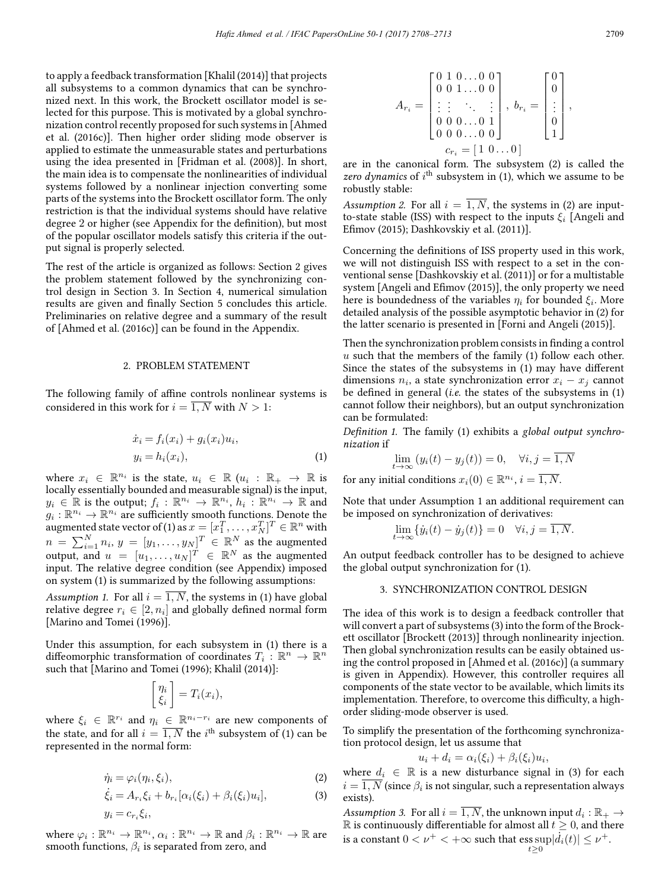to apply a feedback transformation [Khalil (2014)] that projects all subsystems to a common dynamics that can be synchronized next. In this work, the Brockett oscillator model is selected for this purpose. This is motivated by a global synchronization control recently proposed for such systems in [Ahmed et al. (2016c)]. Then higher order sliding mode observer is applied to estimate the unmeasurable states and perturbations using the idea presented in [Fridman et al. (2008)]. In short, the main idea is to compensate the nonlinearities of individual systems followed by a nonlinear injection converting some parts of the systems into the Brockett oscillator form. The only restriction is that the individual systems should have relative degree 2 or higher (see Appendix for the definition), but most of the popular oscillator models satisfy this criteria if the output signal is properly selected.

The rest of the article is organized as follows: Section 2 gives the problem statement followed by the synchronizing control design in Section 3. In Section 4, numerical simulation results are given and finally Section 5 concludes this article. Preliminaries on relative degree and a summary of the result of [Ahmed et al. (2016c)] can be found in the Appendix.

#### 2. PROBLEM STATEMENT

The following family of affine controls nonlinear systems is considered in this work for  $i = \overline{1, N}$  with  $N > 1$ :

$$
\begin{aligned} \dot{x}_i &= f_i(x_i) + g_i(x_i)u_i, \\ y_i &= h_i(x_i), \end{aligned} \tag{1}
$$

where  $x_i \in \mathbb{R}^{n_i}$  is the state,  $u_i \in \mathbb{R}$   $(u_i : \mathbb{R}_+ \to \mathbb{R}$  is locally essentially bounded and measurable signal) is the input,  $y_i \in \mathbb{R}$  is the output;  $f_i : \mathbb{R}^{n_i} \to \mathbb{R}^{n_i}$ ,  $h_i : \mathbb{R}^{n_i} \to \mathbb{R}$  and  $g_i: \mathbb{R}^{n_i} \to \mathbb{R}^{n_i}$  are sufficiently smooth functions. Denote the augmented state vector of (1) as  $x=[x_1^T,\ldots,x_N^T]^T\in\mathbb{R}^n$  with  $n = \sum_{i=1}^{N} n_i, y = [y_1, \ldots, y_N]^T \in \mathbb{R}^N$  as the augmented output, and  $u = [u_1, \ldots, u_N]^T \in \mathbb{R}^N$  as the augmented input. The relative degree condition (see Appendix) imposed on system (1) is summarized by the following assumptions:

*Assumption 1.* For all  $i = \overline{1, N}$ , the systems in (1) have global relative degree  $r_i \in [2, n_i]$  and globally defined normal form [Marino and Tomei (1996)].

Under this assumption, for each subsystem in (1) there is a diffeomorphic transformation of coordinates  $T_i : \mathbb{R}^n \to \mathbb{R}^n$ such that [Marino and Tomei (1996); Khalil (2014)]:

$$
\begin{bmatrix} \eta_i \\ \xi_i \end{bmatrix} = T_i(x_i),
$$

where  $\xi_i \in \mathbb{R}^{r_i}$  and  $\eta_i \in \mathbb{R}^{n_i - r_i}$  are new components of the state, and for all  $i = \overline{1, N}$  the  $i^{\text{th}}$  subsystem of (1) can be represented in the normal form:

$$
\dot{\eta}_i = \varphi_i(\eta_i, \xi_i),\tag{2}
$$

$$
\dot{\xi}_i = A_{r_i} \xi_i + b_{r_i} [\alpha_i(\xi_i) + \beta_i(\xi_i) u_i],
$$
\n
$$
y_i = c_{r_i} \xi_i,
$$
\n(3)

where  $\varphi_i : \mathbb{R}^{n_i} \to \mathbb{R}^{n_i}$ ,  $\alpha_i : \mathbb{R}^{n_i} \to \mathbb{R}$  and  $\beta_i : \mathbb{R}^{n_i} \to \mathbb{R}$  are smooth functions,  $\beta_i$  is separated from zero, and

$$
A_{r_i} = \begin{bmatrix} 0 & 1 & 0 & \ldots & 0 & 0 \\ 0 & 0 & 1 & \ldots & 0 & 0 \\ \vdots & \vdots & \ddots & \vdots & \vdots \\ 0 & 0 & 0 & \ldots & 0 & 1 \\ 0 & 0 & 0 & \ldots & 0 & 0 \end{bmatrix}, b_{r_i} = \begin{bmatrix} 0 \\ 0 \\ \vdots \\ 0 \\ 1 \end{bmatrix},
$$

$$
c_{r_i} = \begin{bmatrix} 1 & 0 & \ldots & 0 \end{bmatrix}
$$

are in the canonical form. The subsystem (2) is called the zero dynamics of  $i^{\text{th}}$  subsystem in (1), which we assume to be robustly stable:

*Assumption 2.* For all  $i = \overline{1, N}$ , the systems in (2) are inputto-state stable (ISS) with respect to the inputs  $\xi_i$  [Angeli and Emov (2015); Dashkovskiy et al. (2011)].

Concerning the definitions of ISS property used in this work, we will not distinguish ISS with respect to a set in the conventional sense [Dashkovskiy et al. (2011)] or for a multistable system [Angeli and Efimov (2015)], the only property we need here is boundedness of the variables  $\eta_i$  for bounded  $\xi_i$ . More detailed analysis of the possible asymptotic behavior in (2) for the latter scenario is presented in [Forni and Angeli (2015)].

Then the synchronization problem consists in finding a control u such that the members of the family (1) follow each other. Since the states of the subsystems in  $(1)$  may have different dimensions  $n_i$ , a state synchronization error  $x_i - x_j$  cannot be defined in general (*i.e.* the states of the subsystems in (1) cannot follow their neighbors), but an output synchronization can be formulated:

*Definition 1.* The family (1) exhibits a *global output synchronization* if

$$
\lim_{t \to \infty} (y_i(t) - y_j(t)) = 0, \quad \forall i, j = \overline{1, N}
$$

for any initial conditions  $x_i(0) \in \mathbb{R}^{n_i}$ ,  $i = \overline{1, N}$ .

Note that under Assumption 1 an additional requirement can be imposed on synchronization of derivatives:

$$
\lim_{t \to \infty} \{ \dot{y}_i(t) - \dot{y}_j(t) \} = 0 \quad \forall i, j = \overline{1, N}.
$$

An output feedback controller has to be designed to achieve the global output synchronization for (1).

### 3. SYNCHRONIZATION CONTROL DESIGN

The idea of this work is to design a feedback controller that will convert a part of subsystems (3) into the form of the Brockett oscillator [Brockett (2013)] through nonlinearity injection. Then global synchronization results can be easily obtained using the control proposed in [Ahmed et al. (2016c)] (a summary is given in Appendix). However, this controller requires all components of the state vector to be available, which limits its implementation. Therefore, to overcome this difficulty, a highorder sliding-mode observer is used.

To simplify the presentation of the forthcoming synchronization protocol design, let us assume that

$$
u_i + d_i = \alpha_i(\xi_i) + \beta_i(\xi_i)u_i,
$$

where  $d_i \in \mathbb{R}$  is a new disturbance signal in (3) for each  $i = \overline{1, N}$  (since  $\beta_i$  is not singular, such a representation always exists).

*Assumption 3.* For all  $i = \overline{1, N}$ , the unknown input  $d_i : \mathbb{R}_+ \to$  $\mathbb R$  is continuously differentiable for almost all  $t\geq 0,$  and there is a constant  $0 < \nu^+ < +\infty$  such that  $\exp[i_i(t)] \leq \nu^+$ .  $t>0$